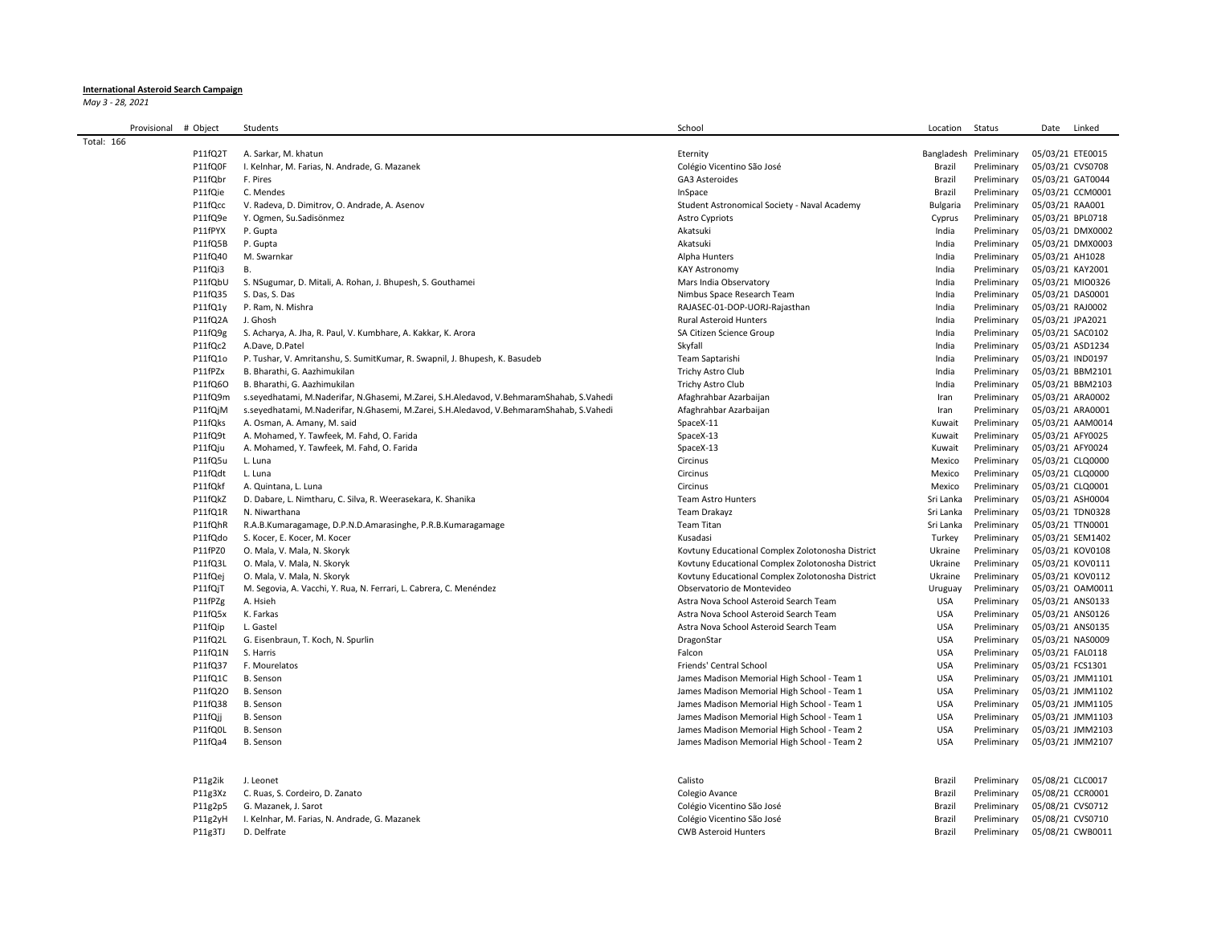## **International Asteroid Search Campaign**

*May 3 - 28, 2021*

| Provisional | # Object | Students                                                                                 | School                                           | Location        | Status                 | Date<br>Linked   |
|-------------|----------|------------------------------------------------------------------------------------------|--------------------------------------------------|-----------------|------------------------|------------------|
| Total: 166  |          |                                                                                          |                                                  |                 |                        |                  |
|             | P11fQ2T  | A. Sarkar, M. khatun                                                                     | Eternity                                         |                 | Bangladesh Preliminary | 05/03/21 ETE0015 |
|             | P11fQ0F  | I. Kelnhar, M. Farias, N. Andrade, G. Mazanek                                            | Colégio Vicentino São José                       | Brazil          | Preliminary            | 05/03/21 CVS0708 |
|             | P11fQbr  | F. Pires                                                                                 | GA3 Asteroides                                   | Brazil          | Preliminary            | 05/03/21 GAT0044 |
|             | P11fQie  | C. Mendes                                                                                | InSpace                                          | Brazil          | Preliminary            | 05/03/21 CCM0001 |
|             | P11fQcc  | V. Radeva, D. Dimitrov, O. Andrade, A. Asenov                                            | Student Astronomical Society - Naval Academy     | <b>Bulgaria</b> | Preliminary            | 05/03/21 RAA001  |
|             | P11fQ9e  | Y. Ogmen, Su.Sadisönmez                                                                  | <b>Astro Cypriots</b>                            | Cyprus          | Preliminary            | 05/03/21 BPL0718 |
|             | P11fPYX  | P. Gupta                                                                                 | Akatsuki                                         | India           | Preliminary            | 05/03/21 DMX0002 |
|             | P11fQ5B  | P. Gupta                                                                                 | Akatsuki                                         | India           | Preliminary            | 05/03/21 DMX0003 |
|             | P11fQ40  | M. Swarnkar                                                                              | Alpha Hunters                                    | India           | Preliminary            | 05/03/21 AH1028  |
|             | P11fQi3  | <b>B.</b>                                                                                | <b>KAY Astronomy</b>                             | India           | Preliminary            | 05/03/21 KAY2001 |
|             | P11fQbU  | S. NSugumar, D. Mitali, A. Rohan, J. Bhupesh, S. Gouthamei                               | Mars India Observatory                           | India           | Preliminary            | 05/03/21 MIO0326 |
|             | P11fQ35  | S. Das, S. Das                                                                           | Nimbus Space Research Team                       | India           | Preliminary            | 05/03/21 DAS0001 |
|             | P11fQ1y  | P. Ram, N. Mishra                                                                        | RAJASEC-01-DOP-UORJ-Rajasthan                    | India           | Preliminary            | 05/03/21 RAJ0002 |
|             | P11fQ2A  | J. Ghosh                                                                                 | Rural Asteroid Hunters                           | India           | Preliminary            | 05/03/21 JPA2021 |
|             | P11fQ9g  | S. Acharya, A. Jha, R. Paul, V. Kumbhare, A. Kakkar, K. Arora                            | SA Citizen Science Group                         | India           | Preliminary            | 05/03/21 SAC0102 |
|             | P11fQc2  | A.Dave, D.Patel                                                                          | Skyfall                                          | India           | Preliminary            | 05/03/21 ASD1234 |
|             | P11fQ1o  | P. Tushar, V. Amritanshu, S. SumitKumar, R. Swapnil, J. Bhupesh, K. Basudeb              | Team Saptarishi                                  | India           | Preliminary            | 05/03/21 IND0197 |
|             | P11fPZx  | B. Bharathi, G. Aazhimukilan                                                             | Trichy Astro Club                                | India           | Preliminary            | 05/03/21 BBM2101 |
|             | P11fQ6O  | B. Bharathi, G. Aazhimukilan                                                             |                                                  | India           |                        |                  |
|             | P11fQ9m  |                                                                                          | Trichy Astro Club                                |                 | Preliminary            | 05/03/21 BBM2103 |
|             |          | s.seyedhatami, M.Naderifar, N.Ghasemi, M.Zarei, S.H.Aledavod, V.BehmaramShahab, S.Vahedi | Afaghrahbar Azarbaijan                           | Iran            | Preliminary            | 05/03/21 ARA0002 |
|             | P11fQjM  | s.seyedhatami, M.Naderifar, N.Ghasemi, M.Zarei, S.H.Aledavod, V.BehmaramShahab, S.Vahedi | Afaghrahbar Azarbaijan                           | Iran            | Preliminary            | 05/03/21 ARA0001 |
|             | P11fQks  | A. Osman, A. Amany, M. said                                                              | SpaceX-11                                        | Kuwait          | Preliminary            | 05/03/21 AAM0014 |
|             | P11fQ9t  | A. Mohamed, Y. Tawfeek, M. Fahd, O. Farida                                               | SpaceX-13                                        | Kuwait          | Preliminary            | 05/03/21 AFY0025 |
|             | P11fQju  | A. Mohamed, Y. Tawfeek, M. Fahd, O. Farida                                               | SpaceX-13                                        | Kuwait          | Preliminary            | 05/03/21 AFY0024 |
|             | P11fQ5u  | L. Luna                                                                                  | Circinus                                         | Mexico          | Preliminary            | 05/03/21 CLQ0000 |
|             | P11fQdt  | L. Luna                                                                                  | Circinus                                         | Mexico          | Preliminary            | 05/03/21 CLQ0000 |
|             | P11fQkf  | A. Quintana, L. Luna                                                                     | Circinus                                         | Mexico          | Preliminary            | 05/03/21 CLQ0001 |
|             | P11fQkZ  | D. Dabare, L. Nimtharu, C. Silva, R. Weerasekara, K. Shanika                             | <b>Team Astro Hunters</b>                        | Sri Lanka       | Preliminary            | 05/03/21 ASH0004 |
|             | P11fQ1R  | N. Niwarthana                                                                            | Team Drakayz                                     | Sri Lanka       | Preliminary            | 05/03/21 TDN0328 |
|             | P11fQhR  | R.A.B.Kumaragamage, D.P.N.D.Amarasinghe, P.R.B.Kumaragamage                              | <b>Team Titan</b>                                | Sri Lanka       | Preliminary            | 05/03/21 TTN0001 |
|             | P11fQdo  | S. Kocer, E. Kocer, M. Kocer                                                             | Kusadasi                                         | Turkey          | Preliminary            | 05/03/21 SEM1402 |
|             | P11fPZ0  | O. Mala, V. Mala, N. Skoryk                                                              | Kovtuny Educational Complex Zolotonosha District | Ukraine         | Preliminary            | 05/03/21 KOV0108 |
|             | P11fQ3L  | O. Mala, V. Mala, N. Skoryk                                                              | Kovtuny Educational Complex Zolotonosha District | Ukraine         | Preliminary            | 05/03/21 KOV0111 |
|             | P11fQej  | O. Mala, V. Mala, N. Skoryk                                                              | Kovtuny Educational Complex Zolotonosha District | Ukraine         | Preliminary            | 05/03/21 KOV0112 |
|             | P11fQjT  | M. Segovia, A. Vacchi, Y. Rua, N. Ferrari, L. Cabrera, C. Menéndez                       | Observatorio de Montevideo                       | Uruguay         | Preliminary            | 05/03/21 OAM0011 |
|             | P11fPZg  | A. Hsieh                                                                                 | Astra Nova School Asteroid Search Team           | <b>USA</b>      | Preliminary            | 05/03/21 ANS0133 |
|             | P11fQ5x  | K. Farkas                                                                                | Astra Nova School Asteroid Search Team           | <b>USA</b>      | Preliminary            | 05/03/21 ANS0126 |
|             | P11fQip  | L. Gastel                                                                                | Astra Nova School Asteroid Search Team           | <b>USA</b>      | Preliminary            | 05/03/21 ANS0135 |
|             | P11fQ2L  | G. Eisenbraun, T. Koch, N. Spurlin                                                       | DragonStar                                       | <b>USA</b>      | Preliminary            | 05/03/21 NAS0009 |
|             | P11fQ1N  | S. Harris                                                                                | Falcon                                           | <b>USA</b>      | Preliminary            | 05/03/21 FAL0118 |
|             | P11fQ37  | F. Mourelatos                                                                            | Friends' Central School                          | <b>USA</b>      | Preliminary            | 05/03/21 FCS1301 |
|             | P11fQ1C  | B. Senson                                                                                | James Madison Memorial High School - Team 1      | <b>USA</b>      | Preliminary            | 05/03/21 JMM1101 |
|             | P11fQ20  | B. Senson                                                                                | James Madison Memorial High School - Team 1      | <b>USA</b>      | Preliminary            | 05/03/21 JMM1102 |
|             | P11fQ38  | B. Senson                                                                                | James Madison Memorial High School - Team 1      | <b>USA</b>      | Preliminary            | 05/03/21 JMM1105 |
|             | P11fQii  | B. Senson                                                                                | James Madison Memorial High School - Team 1      | <b>USA</b>      | Preliminary            | 05/03/21 JMM1103 |
|             | P11fQ0L  | B. Senson                                                                                | James Madison Memorial High School - Team 2      | <b>USA</b>      | Preliminary            | 05/03/21 JMM2103 |
|             | P11fQa4  | B. Senson                                                                                | James Madison Memorial High School - Team 2      | <b>USA</b>      | Preliminary            | 05/03/21 JMM2107 |
|             |          |                                                                                          |                                                  |                 |                        |                  |
|             | P11g2ik  | J. Leonet                                                                                | Calisto                                          | Brazil          | Preliminary            | 05/08/21 CLC0017 |
|             | P11g3Xz  | C. Ruas, S. Cordeiro, D. Zanato                                                          | Colegio Avance                                   | Brazil          | Preliminary            | 05/08/21 CCR0001 |
|             | P11g2p5  | G. Mazanek, J. Sarot                                                                     | Colégio Vicentino São José                       | Brazil          | Preliminary            | 05/08/21 CVS0712 |

P11g2yH I. Kelnhar, M. Farias, N. Andrade, G. Mazanek Colégio Vicentino São José Brazil Preliminary 05/08/21 CVS0710 P11g3TJ D. Delfrate **CWB** Asteroid Hunters CWB Asteroid Hunters CWB Asteroid Hunters Brazil Preliminary 05/08/21 CWB0011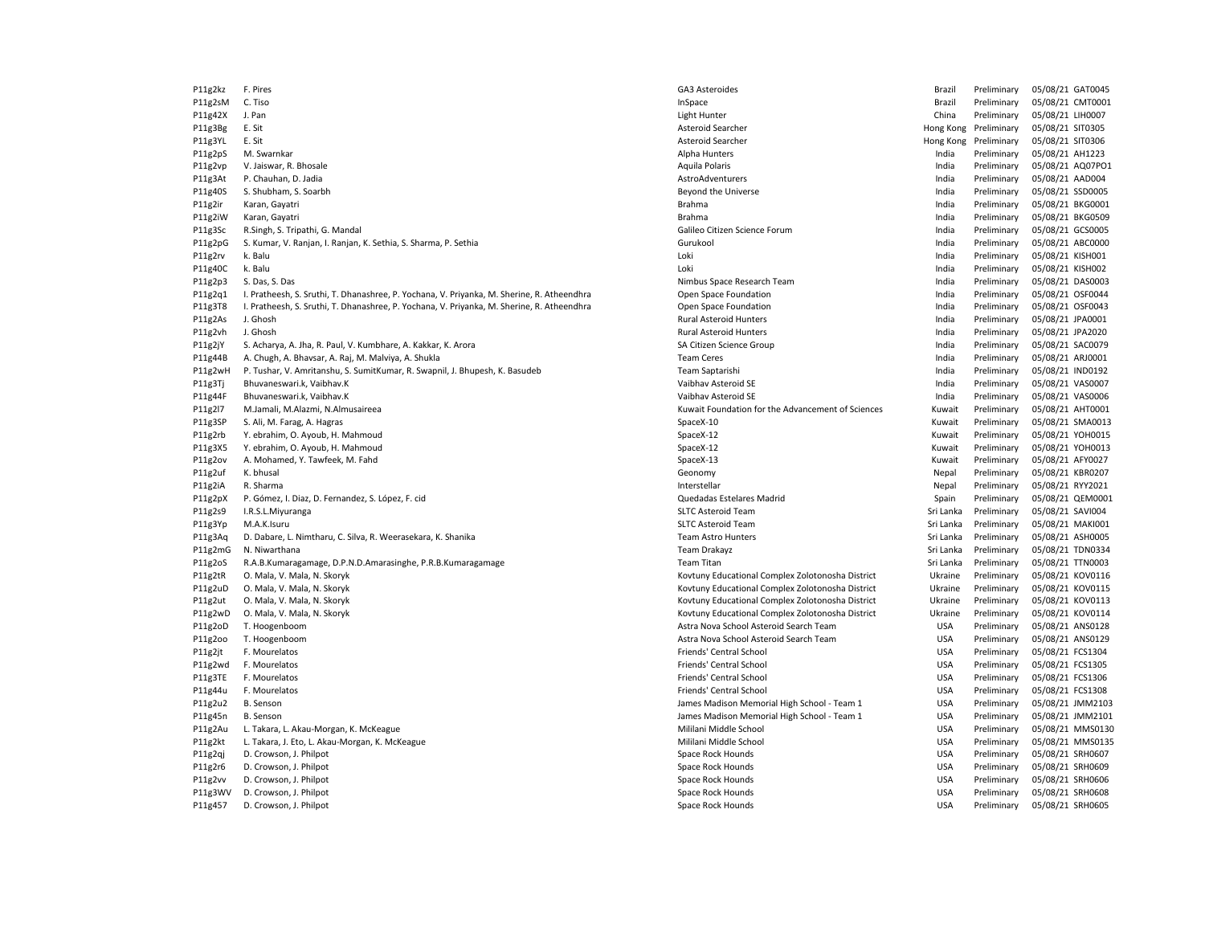P11g2uD O. Mala, V. Mala, N. Skoryk Kovtuny Educational Complex Zolotonosha District Complex Zolotonosha District Ukraine Preliminary

P11g2kz F. Pires GA3 Asteroides Brazil Preliminary 05/08/21 GAT0045 P11g2sM C. Tiso InSpace Brazil Preliminary 05/08/21 CMT0001 P11g42X J. Pan Light Hunter China Preliminary 05/08/21 LIH0007 P11g3Bg E. Sit Asteroid Searcher Hong Kong Preliminary 05/08/21 SIT0305 P11g3YL E. Sit Asteroid Searcher Hong Kong Preliminary 05/08/21 SIT0306 P11g2pS M. Swarnkar Alpha Hunters India Preliminary 05/08/21 AH1223 P11g2vp V. Jaiswar, R. Bhosale Aquila Polaris India Preliminary 05/08/21 AQ07PO1 P11g3At P. Chauhan, D. Jadia AstroAdventurers India Preliminary 05/08/21 AAD004 P11g40S S. Shubham, S. Soarbh Beyond the Universe India Preliminary 05/08/21 SSD0005 P11g2ir Karan, Gayatri Brahma India Preliminary 05/08/21 BKG0001 P11g2iW Karan, Gayatri Brahma India Preliminary 05/08/21 BKG0509 P11g3Sc R.Singh, S. Tripathi, G. Mandal **San Andal Calileo Citizen Science Forum** Calileo Citizen Science Forum **India Preliminary 05/08/21 GCS0005** P11g2pG S. Kumar, V. Ranjan, I. Ranjan, K. Sethia, S. Sharma, P. Sethia Gurukool Gurukool Curukool Curukool Curukool India Preliminary 05/08/21 ABC0000 P11g2rv k. Balu Loki India Preliminary 05/08/21 KISH001 P11g40C k. Balu Loki India Preliminary 05/08/21 KISH002 P11g2p3 S. Das, S. Das S. Das Nimbus Space Research Team India Preliminary 05/08/21 DAS0003 P11g2q1 I. Pratheesh, S. Sruthi, T. Dhanashree, P. Yochana, V. Priyanka, M. Sherine, R. Atheendhra Company Chanashree, P. Yochana, V. Priyanka, M. Sherine, R. Atheendhra Companisor Chen Space Foundation India Preliminary 0 P11g3T8 I. Pratheesh, S. Sruthi, T. Dhanashree, P. Yochana, V. Priyanka, M. Sherine, R. Atheendhra Open Space Foundation Dem Space Foundation India Preliminary 05/08/21 OSF0043 P11g2As J. Ghosh Rural Asteroid Hunters India Preliminary 05/08/21 JPA0001 P11g2vh J. Ghosh Rural Asteroid Hunters India Preliminary 05/08/21 JPA2020 P11g2jY S. Acharya, A. Jha, R. Paul, V. Kumbhare, A. Kakkar, K. Arora SA Citizen Science Group SA Citizen Science Group India Preliminary 05/08/21 SAC0079 P11g44B A. Chugh, A. Bhavsar, A. Raj, M. Malviya, A. Shukla **Team Ceres** Team Ceres **India Preliminary 05/08/21 ARJ0001** P11g2wH P. Tushar, V. Amritanshu, S. SumitKumar, R. Swapnil, J. Bhupesh, K. Basudeb Team Saptarishi Team Saptarishi India Preliminary 05/08/21 IND0192 P11g3Tj Bhuvaneswari.k, Vaibhav.K end and the state of the state of the Vaibhav Asteroid SE and the state of the Matham Asteroid SE and the Preliminary 05/08/21 VAS0007 P11g44F Bhuvaneswari.k, Vaibhav.K Vaibhav Asteroid SE India Preliminary 05/08/21 VAS0006 P11g2l7 M.Jamali, M.Alazmi, N.Almusaireea Kuwait Foundation for the Advancement of Sciences Kuwait Preliminary 05/08/21 AHT0001 P11g3SP S. Ali, M. Farag, A. Hagras SpaceX-10 Kuwait Preliminary 05/08/21 SMA0013 P11g2rb Y. ebrahim, O. Ayoub, H. Mahmoud SpaceX-12 SpaceX-12 SpaceX-12 SpaceX-12 Kuwait Preliminary 05/08/21 YOH0015 P11g3X5 Y. ebrahim, O. Ayoub, H. Mahmoud SpaceX-10 SpaceX-12 SpaceX-12 SpaceX-12 Kuwait Preliminary 05/08/21 YOH0013 P11g2ov A. Mohamed, Y. Tawfeek, M. Fahd SpaceX-13 Kuwait Preliminary 05/08/21 AFY0027 P11g2uf K. bhusal Geonomy Nepal Preliminary 05/08/21 KBR0207 P11g2iA R. Sharma Interstellar Nepal Preliminary 05/08/21 RYY2021 P11g2pX P. Gómez, I. Diaz, D. Fernandez, S. López, F. cid **Channelius Channelius Company Company Company Company Company Company Company Company OS/08/21 QEM0001** P11g2s9 I.R.S.L.Miyuranga SLTC Asteroid Team Sri Lanka Preliminary 05/08/21 SAVI004 P11g3Yp M.A.K.Isuru SLTC Asteroid Team Sri Lanka Preliminary 05/08/21 MAKI001 P11g3Aq D. Dabare, L. Nimtharu, C. Silva, R. Weerasekara, K. Shanika Team Astro Hunters Team Astro Hunters Sri Lanka Preliminary 05/08/21 ASH0005 P11g2mG N. Niwarthana Team Drakayz Sri Lanka Preliminary 05/08/21 TDN0334 P11g2oS R.A.B.Kumaragamage, D.P.N.D.Amarasinghe, P.R.B.Kumaragamage Team Titan Sri Lanka Preliminary 05/08/21 TTN0003 P11g2tR O. Mala, V. Mala, N. Skoryk State March 2012 12:30 Worder March 2012 12:30 More March 2012 12:30 Preliminary 2002 12:30 Mala March 2012 12:30 Preliminary 05/08/21 KOV0115 Preliminary 05/08/21 KOV0115 National Compl P11g2ut O. Mala, V. Mala, N. Skoryk Kovtuny Educational Complex Zolotonosha District Ukraine Preliminary 05/08/21 KOV0113 P11g2wD O. Mala, V. Mala, N. Skoryk Wala, N. Skoryk Kovtuny Educational Complex Zolotonosha District Ukraine Preliminary 05/08/21 KOV0114 P11g2oD T. Hoogenboom Astra Nova School Asteroid Search Team USA Preliminary 05/08/21 ANS0128 P11g2oo T. Hoogenboom entitled astra Nova School Astra Nova School Asteroid Search Team COSA Preliminary 05/08/21 ANS0129 P11g2jt F. Mourelatos entropy and the second of the second of the School Friends' Central School Friends' Central School USA Preliminary 05/08/21 FCS1304 P11g2wd F. Mourelatos entertainment of the state of the state of the state of the state of the state of the state of the state of the state of the state of the state of the state of the state of the state of the state of t P11g3TE F. Mourelatos entropression and the second of the second of the second of the second of the second of the second of the second of the second of the second of the second of the second of the second of the second of P11g44u F. Mourelatos entropression and the second of the second of the second of the second of the second of the second of the second of the second of the second of the second of the second of the second of the second of P11g2u2 B. Senson School - Team 1 USA Preliminary 05/08/21 JMM2103 P11g45n B. Senson James Madison Memorial High School - Team 1 USA Preliminary 05/08/21 JMM2101 P11g2Au L. Takara, L. Akau-Morgan, K. McKeague Mission and Mililani Middle School Mililani Middle School USA Preliminary 05/08/21 MMS0130 P11g2kt L. Takara, J. Eto, L. Akau-Morgan, K. McKeague Mililani Mililani Middle School Mililani Middle School USA Preliminary 05/08/21 MMS0135 P11g2qj D. Crowson, J. Philpot Space Rock Hounds USA Preliminary 05/08/21 SRH0607 P11g2r6 D. Crowson, J. Philpot Space Rock Hounds USA Preliminary 05/08/21 SRH0609 P11g2vv D. Crowson, J. Philpot Space Rock Hounds USA Preliminary 05/08/21 SRH0606 P11g3WV D. Crowson, J. Philpot Space Rock Hounds USA Preliminary 05/08/21 SRH0608 P11g457 D. Crowson, J. Philpot Space Rock Hounds USA Preliminary 05/08/21 SRH0605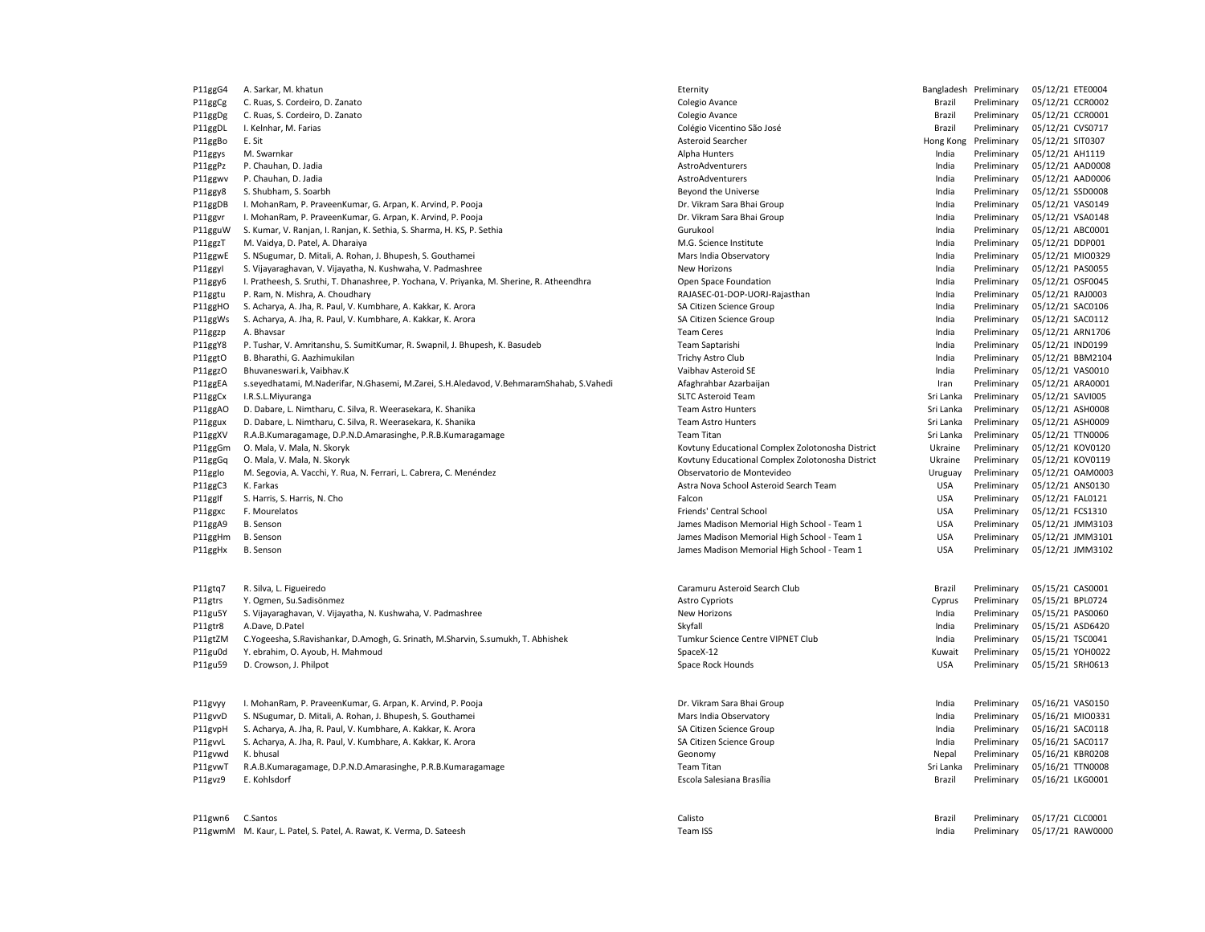| P11ggG4 | A. Sarkar, M. khatun                                                                       | Eternity                                         |            | Bangladesh Preliminary | 05/12/21 ETE0004 |
|---------|--------------------------------------------------------------------------------------------|--------------------------------------------------|------------|------------------------|------------------|
| P11ggCg | C. Ruas, S. Cordeiro, D. Zanato                                                            | Colegio Avance                                   | Brazil     | Preliminary            | 05/12/21 CCR0002 |
| P11ggDg | C. Ruas, S. Cordeiro, D. Zanato                                                            | Colegio Avance                                   | Brazil     | Preliminary            | 05/12/21 CCR0001 |
| P11ggDL | I. Kelnhar, M. Farias                                                                      | Colégio Vicentino São José                       | Brazil     | Preliminary            | 05/12/21 CVS0717 |
| P11ggBo | E. Sit                                                                                     | Asteroid Searcher                                | Hong Kong  | Preliminary            | 05/12/21 SIT0307 |
| P11ggys | M. Swarnkar                                                                                | Alpha Hunters                                    | India      | Preliminary            | 05/12/21 AH1119  |
| P11ggPz | P. Chauhan, D. Jadia                                                                       | AstroAdventurers                                 | India      | Preliminary            | 05/12/21 AAD0008 |
| P11ggwv | P. Chauhan, D. Jadia                                                                       | AstroAdventurers                                 | India      | Preliminary            | 05/12/21 AAD0006 |
| P11ggy8 | S. Shubham, S. Soarbh                                                                      | Beyond the Universe                              | India      | Preliminary            | 05/12/21 SSD0008 |
| P11ggDB | I. MohanRam, P. PraveenKumar, G. Arpan, K. Arvind, P. Pooja                                | Dr. Vikram Sara Bhai Group                       | India      | Preliminary            | 05/12/21 VAS0149 |
| P11ggvr | I. MohanRam, P. PraveenKumar, G. Arpan, K. Arvind, P. Pooja                                | Dr. Vikram Sara Bhai Group                       | India      | Preliminary            | 05/12/21 VSA0148 |
| P11gguW | S. Kumar, V. Ranjan, I. Ranjan, K. Sethia, S. Sharma, H. KS, P. Sethia                     | Gurukool                                         | India      | Preliminary            | 05/12/21 ABC0001 |
| P11ggzT | M. Vaidya, D. Patel, A. Dharaiya                                                           | M.G. Science Institute                           | India      | Preliminary            | 05/12/21 DDP001  |
| P11ggwE | S. NSugumar, D. Mitali, A. Rohan, J. Bhupesh, S. Gouthamei                                 | Mars India Observatory                           | India      | Preliminary            | 05/12/21 MIO0329 |
| P11ggyl | S. Vijayaraghavan, V. Vijayatha, N. Kushwaha, V. Padmashree                                | New Horizons                                     | India      | Preliminary            | 05/12/21 PAS0055 |
| P11ggy6 | I. Pratheesh, S. Sruthi, T. Dhanashree, P. Yochana, V. Priyanka, M. Sherine, R. Atheendhra | Open Space Foundation                            | India      | Preliminary            | 05/12/21 OSF0045 |
| P11ggtu | P. Ram, N. Mishra, A. Choudhary                                                            | RAJASEC-01-DOP-UORJ-Rajasthan                    | India      | Preliminary            | 05/12/21 RAJ0003 |
| P11ggHO | S. Acharya, A. Jha, R. Paul, V. Kumbhare, A. Kakkar, K. Arora                              | SA Citizen Science Group                         | India      | Preliminary            | 05/12/21 SAC0106 |
| P11ggWs | S. Acharya, A. Jha, R. Paul, V. Kumbhare, A. Kakkar, K. Arora                              | SA Citizen Science Group                         | India      | Preliminary            | 05/12/21 SAC0112 |
| P11ggzp | A. Bhavsar                                                                                 | <b>Team Ceres</b>                                | India      | Preliminary            | 05/12/21 ARN1706 |
| P11ggY8 | P. Tushar, V. Amritanshu, S. SumitKumar, R. Swapnil, J. Bhupesh, K. Basudeb                | Team Saptarishi                                  | India      | Preliminary            | 05/12/21 IND0199 |
| P11ggtO | B. Bharathi, G. Aazhimukilan                                                               | Trichy Astro Club                                | India      | Preliminary            | 05/12/21 BBM2104 |
| P11ggzO | Bhuvaneswari.k, Vaibhav.K                                                                  | Vaibhav Asteroid SE                              | India      | Preliminary            | 05/12/21 VAS0010 |
| P11ggEA | s.seyedhatami, M.Naderifar, N.Ghasemi, M.Zarei, S.H.Aledavod, V.BehmaramShahab, S.Vahedi   | Afaghrahbar Azarbaijan                           | Iran       | Preliminary            | 05/12/21 ARA0001 |
| P11ggCx | I.R.S.L.Miyuranga                                                                          | <b>SLTC Asteroid Team</b>                        | Sri Lanka  | Preliminary            | 05/12/21 SAVI005 |
| P11ggAO | D. Dabare, L. Nimtharu, C. Silva, R. Weerasekara, K. Shanika                               | <b>Team Astro Hunters</b>                        | Sri Lanka  | Preliminary            | 05/12/21 ASH0008 |
| P11ggux | D. Dabare, L. Nimtharu, C. Silva, R. Weerasekara, K. Shanika                               | <b>Team Astro Hunters</b>                        | Sri Lanka  | Preliminary            | 05/12/21 ASH0009 |
| P11ggXV | R.A.B.Kumaragamage, D.P.N.D.Amarasinghe, P.R.B.Kumaragamage                                | Team Titan                                       | Sri Lanka  | Preliminary            | 05/12/21 TTN0006 |
| P11ggGm | O. Mala, V. Mala, N. Skoryk                                                                | Kovtuny Educational Complex Zolotonosha District | Ukraine    | Preliminary            | 05/12/21 KOV0120 |
| P11ggGq | O. Mala, V. Mala, N. Skoryk                                                                | Kovtuny Educational Complex Zolotonosha District | Ukraine    | Preliminary            | 05/12/21 KOV0119 |
| P11gglo | M. Segovia, A. Vacchi, Y. Rua, N. Ferrari, L. Cabrera, C. Menéndez                         | Observatorio de Montevideo                       | Uruguay    | Preliminary            | 05/12/21 OAM0003 |
| P11ggC3 | K. Farkas                                                                                  | Astra Nova School Asteroid Search Team           | <b>USA</b> | Preliminary            | 05/12/21 ANS0130 |
| P11gglf | S. Harris, S. Harris, N. Cho                                                               | Falcon                                           | <b>USA</b> | Preliminary            | 05/12/21 FAL0121 |
| P11ggxc | F. Mourelatos                                                                              | Friends' Central School                          | <b>USA</b> | Preliminary            | 05/12/21 FCS1310 |
| P11ggA9 | B. Senson                                                                                  | James Madison Memorial High School - Team 1      | <b>USA</b> | Preliminary            | 05/12/21 JMM3103 |
| P11ggHm | <b>B.</b> Senson                                                                           | James Madison Memorial High School - Team 1      | <b>USA</b> | Preliminary            | 05/12/21 JMM3101 |
| P11ggHx | B. Senson                                                                                  | James Madison Memorial High School - Team 1      | <b>USA</b> | Preliminary            | 05/12/21 JMM3102 |
| P11gtq7 | R. Silva, L. Figueiredo                                                                    | Caramuru Asteroid Search Club                    | Brazil     | Preliminary            | 05/15/21 CAS0001 |
| P11gtrs | Y. Ogmen, Su.Sadisönmez                                                                    | <b>Astro Cypriots</b>                            | Cyprus     | Preliminary            | 05/15/21 BPL0724 |
| P11gu5Y | S. Vijayaraghavan, V. Vijayatha, N. Kushwaha, V. Padmashree                                | New Horizons                                     | India      | Preliminary            | 05/15/21 PAS0060 |
| P11gtr8 | A.Dave, D.Patel                                                                            | Skyfall                                          | India      | Preliminary            | 05/15/21 ASD6420 |
| P11gtZM | C.Yogeesha, S.Ravishankar, D.Amogh, G. Srinath, M.Sharvin, S.sumukh, T. Abhishek           | Tumkur Science Centre VIPNET Club                | India      | Preliminary            | 05/15/21 TSC0041 |
| P11gu0d | Y. ebrahim, O. Ayoub, H. Mahmoud                                                           | SpaceX-12                                        | Kuwait     | Preliminary            | 05/15/21 YOH0022 |
| P11gu59 | D. Crowson, J. Philpot                                                                     | Space Rock Hounds                                | <b>USA</b> | Preliminary            | 05/15/21 SRH0613 |
|         |                                                                                            |                                                  |            |                        |                  |
| P11gvyy | I. MohanRam, P. PraveenKumar, G. Arpan, K. Arvind, P. Pooja                                | Dr. Vikram Sara Bhai Group                       | India      | Preliminary            | 05/16/21 VAS0150 |
| P11gvvD | S. NSugumar, D. Mitali, A. Rohan, J. Bhupesh, S. Gouthamei                                 | Mars India Observatory                           | India      | Preliminary            | 05/16/21 MIO0331 |
| P11gvpH | S. Acharya, A. Jha, R. Paul, V. Kumbhare, A. Kakkar, K. Arora                              | SA Citizen Science Group                         | India      | Preliminary            | 05/16/21 SAC0118 |
| P11gvvL | S. Acharya, A. Jha, R. Paul, V. Kumbhare, A. Kakkar, K. Arora                              | SA Citizen Science Group                         | India      | Preliminary            | 05/16/21 SAC0117 |
| P11gvwd | K. bhusal                                                                                  | Geonomy                                          | Nepal      | Preliminary            | 05/16/21 KBR0208 |
| P11gvwT | R.A.B.Kumaragamage, D.P.N.D.Amarasinghe, P.R.B.Kumaragamage                                | <b>Team Titan</b>                                | Sri Lanka  | Preliminary            | 05/16/21 TTN0008 |
| P11gvz9 | E. Kohlsdorf                                                                               | Escola Salesiana Brasília                        | Brazil     | Preliminary            | 05/16/21 LKG0001 |
|         |                                                                                            |                                                  |            |                        |                  |

| P11ggG4 | A. Sarkar, M. khatun                                                                       | Eternity                                         |            | Bangladesh Preliminary | 05/12/21 ETE0004 |
|---------|--------------------------------------------------------------------------------------------|--------------------------------------------------|------------|------------------------|------------------|
| P11ggCg | C. Ruas, S. Cordeiro, D. Zanato                                                            | Colegio Avance                                   | Brazil     | Preliminary            | 05/12/21 CCR0002 |
| P11ggDg | C. Ruas, S. Cordeiro, D. Zanato                                                            | Colegio Avance                                   | Brazil     | Preliminary            | 05/12/21 CCR0001 |
| P11ggDL | I. Kelnhar, M. Farias                                                                      | Colégio Vicentino São José                       | Brazil     | Preliminary            | 05/12/21 CVS0717 |
| P11ggBo | E. Sit                                                                                     | Asteroid Searcher                                | Hong Kong  | Preliminary            | 05/12/21 SIT0307 |
| P11ggys | M. Swarnkar                                                                                | Alpha Hunters                                    | India      | Preliminary            | 05/12/21 AH1119  |
| P11ggPz | P. Chauhan, D. Jadia                                                                       | AstroAdventurers                                 | India      | Preliminary            | 05/12/21 AAD0008 |
| P11ggwv | P. Chauhan, D. Jadia                                                                       | AstroAdventurers                                 | India      | Preliminary            | 05/12/21 AAD0006 |
| P11ggy8 | S. Shubham, S. Soarbh                                                                      | Beyond the Universe                              | India      | Preliminary            | 05/12/21 SSD0008 |
| P11ggDB | I. MohanRam, P. PraveenKumar, G. Arpan, K. Arvind, P. Pooja                                | Dr. Vikram Sara Bhai Group                       | India      | Preliminary            | 05/12/21 VAS0149 |
| P11ggvr | I. MohanRam, P. PraveenKumar, G. Arpan, K. Arvind, P. Pooja                                | Dr. Vikram Sara Bhai Group                       | India      | Preliminary            | 05/12/21 VSA0148 |
| P11gguW | S. Kumar, V. Ranjan, I. Ranjan, K. Sethia, S. Sharma, H. KS, P. Sethia                     | Gurukool                                         | India      | Preliminary            | 05/12/21 ABC0001 |
| P11ggzT | M. Vaidya, D. Patel, A. Dharaiya                                                           | M.G. Science Institute                           | India      | Preliminary            | 05/12/21 DDP001  |
| P11ggwE | S. NSugumar, D. Mitali, A. Rohan, J. Bhupesh, S. Gouthamei                                 | Mars India Observatory                           | India      | Preliminary            | 05/12/21 MIO0329 |
| P11ggyl | S. Vijayaraghavan, V. Vijayatha, N. Kushwaha, V. Padmashree                                | New Horizons                                     | India      | Preliminary            | 05/12/21 PAS0055 |
| P11ggy6 | I. Pratheesh, S. Sruthi, T. Dhanashree, P. Yochana, V. Priyanka, M. Sherine, R. Atheendhra | Open Space Foundation                            | India      | Preliminary            | 05/12/21 OSF0045 |
| P11ggtu | P. Ram, N. Mishra, A. Choudhary                                                            | RAJASEC-01-DOP-UORJ-Rajasthan                    | India      | Preliminary            | 05/12/21 RAJ0003 |
| P11ggHO | S. Acharya, A. Jha, R. Paul, V. Kumbhare, A. Kakkar, K. Arora                              | SA Citizen Science Group                         | India      | Preliminary            | 05/12/21 SAC0106 |
| P11ggWs | S. Acharya, A. Jha, R. Paul, V. Kumbhare, A. Kakkar, K. Arora                              | SA Citizen Science Group                         | India      | Preliminary            | 05/12/21 SAC0112 |
| P11ggzp | A. Bhavsar                                                                                 | <b>Team Ceres</b>                                | India      | Preliminary            | 05/12/21 ARN1706 |
| P11ggY8 | P. Tushar, V. Amritanshu, S. SumitKumar, R. Swapnil, J. Bhupesh, K. Basudeb                | Team Saptarishi                                  | India      | Preliminary            | 05/12/21 IND0199 |
| P11ggtO | B. Bharathi, G. Aazhimukilan                                                               | Trichy Astro Club                                | India      | Preliminary            | 05/12/21 BBM2104 |
| P11ggzO | Bhuvaneswari.k, Vaibhav.K                                                                  | Vaibhav Asteroid SE                              | India      | Preliminary            | 05/12/21 VAS0010 |
| P11ggEA | s.seyedhatami, M.Naderifar, N.Ghasemi, M.Zarei, S.H.Aledavod, V.BehmaramShahab, S.Vahedi   | Afaghrahbar Azarbaijan                           | Iran       | Preliminary            | 05/12/21 ARA0001 |
| P11ggCx | I.R.S.L.Miyuranga                                                                          | <b>SLTC Asteroid Team</b>                        | Sri Lanka  | Preliminary            | 05/12/21 SAVI005 |
| P11ggAO | D. Dabare, L. Nimtharu, C. Silva, R. Weerasekara, K. Shanika                               | <b>Team Astro Hunters</b>                        | Sri Lanka  | Preliminary            | 05/12/21 ASH0008 |
| P11ggux | D. Dabare, L. Nimtharu, C. Silva, R. Weerasekara, K. Shanika                               | Team Astro Hunters                               | Sri Lanka  | Preliminary            | 05/12/21 ASH0009 |
| P11ggXV | R.A.B.Kumaragamage, D.P.N.D.Amarasinghe, P.R.B.Kumaragamage                                | Team Titan                                       | Sri Lanka  | Preliminary            | 05/12/21 TTN0006 |
| P11ggGm | O. Mala, V. Mala, N. Skoryk                                                                | Kovtuny Educational Complex Zolotonosha District | Ukraine    | Preliminary            | 05/12/21 KOV0120 |
| P11ggGq | O. Mala, V. Mala, N. Skoryk                                                                | Kovtuny Educational Complex Zolotonosha District | Ukraine    | Preliminary            | 05/12/21 KOV0119 |
| P11gglo | M. Segovia, A. Vacchi, Y. Rua, N. Ferrari, L. Cabrera, C. Menéndez                         | Observatorio de Montevideo                       | Uruguay    | Preliminary            | 05/12/21 OAM0003 |
| P11ggC3 | K. Farkas                                                                                  | Astra Nova School Asteroid Search Team           | <b>USA</b> | Preliminary            | 05/12/21 ANS0130 |
| P11gglf | S. Harris, S. Harris, N. Cho                                                               | Falcon                                           | <b>USA</b> | Preliminary            | 05/12/21 FAL0121 |
| P11ggxc | F. Mourelatos                                                                              | Friends' Central School                          | <b>USA</b> | Preliminary            | 05/12/21 FCS1310 |
| P11ggA9 | <b>B.</b> Senson                                                                           | James Madison Memorial High School - Team 1      | <b>USA</b> | Preliminary            | 05/12/21 JMM3103 |
| P11ggHm | <b>B.</b> Senson                                                                           | James Madison Memorial High School - Team 1      | <b>USA</b> | Preliminary            | 05/12/21 JMM3101 |
| P11ggHx | <b>B.</b> Senson                                                                           | James Madison Memorial High School - Team 1      | <b>USA</b> | Preliminary            | 05/12/21 JMM3102 |
| P11gtq7 | R. Silva, L. Figueiredo                                                                    | Caramuru Asteroid Search Club                    | Brazil     | Preliminary            | 05/15/21 CAS0001 |
| P11gtrs | Y. Ogmen, Su.Sadisönmez                                                                    | <b>Astro Cypriots</b>                            | Cyprus     | Preliminary            | 05/15/21 BPL0724 |
| P11gu5Y | S. Vijayaraghavan, V. Vijayatha, N. Kushwaha, V. Padmashree                                | New Horizons                                     | India      | Preliminary            | 05/15/21 PAS0060 |
| P11gtr8 | A.Dave, D.Patel                                                                            | Skyfall                                          | India      | Preliminary            | 05/15/21 ASD6420 |
| P11gtZM | C. Yogeesha, S. Ravishankar, D. Amogh, G. Srinath, M. Sharvin, S. sumukh, T. Abhishek      | Tumkur Science Centre VIPNET Club                | India      | Preliminary            | 05/15/21 TSC0041 |
| P11gu0d | Y. ebrahim, O. Ayoub, H. Mahmoud                                                           | SpaceX-12                                        | Kuwait     | Preliminary            | 05/15/21 YOH0022 |
| P11gu59 | D. Crowson, J. Philpot                                                                     | Space Rock Hounds                                | <b>USA</b> | Preliminary            | 05/15/21 SRH0613 |
| P11gvyy | I. MohanRam, P. PraveenKumar, G. Arpan, K. Arvind, P. Pooja                                | Dr. Vikram Sara Bhai Group                       | India      | Preliminary            | 05/16/21 VAS0150 |
| P11gvvD | S. NSugumar, D. Mitali, A. Rohan, J. Bhupesh, S. Gouthamei                                 | Mars India Observatory                           | India      | Preliminary            | 05/16/21 MIO0331 |
| P11gvpH | S. Acharya, A. Jha, R. Paul, V. Kumbhare, A. Kakkar, K. Arora                              | SA Citizen Science Group                         | India      | Preliminary            | 05/16/21 SAC0118 |
| P11gvvL | S. Acharya, A. Jha, R. Paul, V. Kumbhare, A. Kakkar, K. Arora                              | SA Citizen Science Group                         | India      | Preliminary            | 05/16/21 SAC0117 |
| P11gvwd | K. bhusal                                                                                  | Geonomy                                          | Nepal      | Preliminary            | 05/16/21 KBR0208 |
| P11gvwT | R.A.B.Kumaragamage, D.P.N.D.Amarasinghe, P.R.B.Kumaragamage                                | Team Titan                                       | Sri Lanka  | Preliminary            | 05/16/21 TTN0008 |
| P11gvz9 | E. Kohlsdorf                                                                               | Escola Salesiana Brasília                        | Brazil     | Preliminary            | 05/16/21 LKG0001 |
|         |                                                                                            |                                                  |            |                        |                  |
| P11gwn6 | C.Santos                                                                                   | Calisto                                          | Brazil     | Preliminary            | 05/17/21 CLC0001 |
|         | P11gwmM M. Kaur, L. Patel, S. Patel, A. Rawat, K. Verma, D. Sateesh                        | Team ISS                                         | India      | Preliminary            | 05/17/21 RAW0000 |